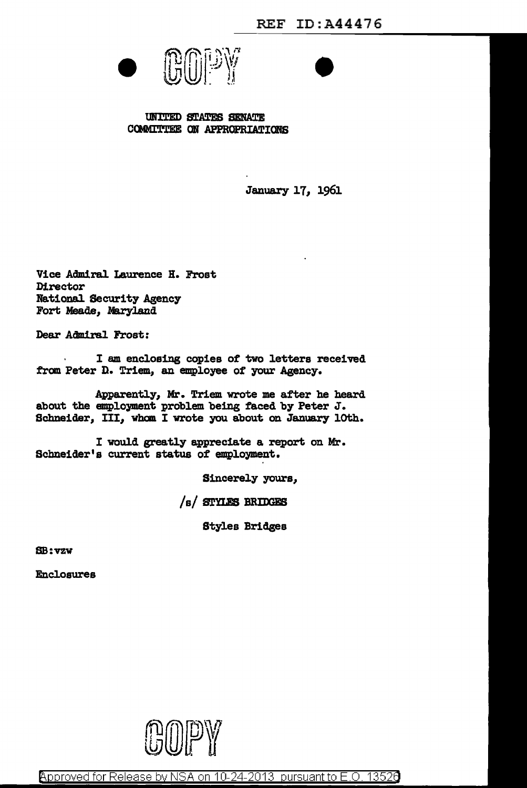



UNITED STATES SENATE COMMITTEE ON APPROPRIATIONS

January 17, 1961

Vice Admiral Laurence H. Frost **Director** National Security Agency Fort Meade, Maryland

Dear Admiral Frost:

I am enclosing copies of two letters received from Peter D. Triem, an employee of your Agency.

Apparently, Mr. Triem wrote me after he heard about the employment problem being faced by Peter J. Schneider, III, whom I wrote you about on January 10th.

I would greatly appreciate a report on Mr. Schneider's current status of employment.

Sincerely yours,

/s/ STYLES BRIDGES

Styles Bridges

SB:vzv

Enclosures



Approved for Release by NSA on 10-24-2013 pursuant to E.O. 13526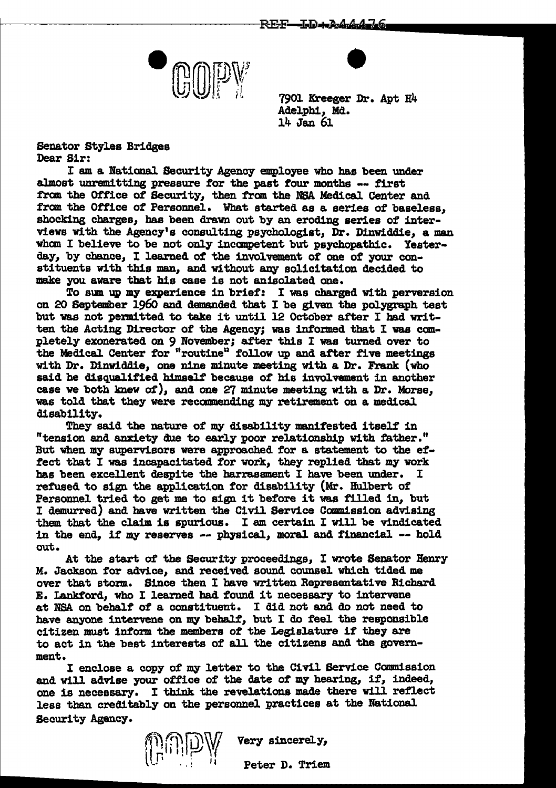



• 7901 Kreeger Dr. Apt H4 Adelphi, Md. 14 Jan 61

Senator Styles Bridges Dear Sir:

I am a National Security Agency employee who has been under almost unremitting pressure for the past four months -- first from the Office of Security, then from the NSA Medical Center and fram the Office of Personnel. What started as a series of baseless, shocking charges, has been drawn out by an eroding series of interviews with the Agency's consulting psychologist, Dr. Dinwiddie, a man wham I believe to be not only incanpetent but psychopathic. Yesterday, by chance, I learned of the involvement of one of your constituents with this man, and Without any solicitation decided to make you aware tbat his case is not an1solated one.

To sum up my experience in brief: I was charged w1 th perversion on 20 September 1960 and demanded that I be given the polygraph test but was not permitted to take it until 12 October after I had written the Acting Director of the Agency; was informed that I was completely exonerated on 9 November; after this I was turned over to the Medical Center for "routine" follow up and after five meetings with Dr. Dinwiddie, one nine minute meeting with a Dr. Frank (who said he disqualified himself because of his involvement in another case we both knew of), and one 27 minute meeting with a Dr. Morse, was told that they were recamnending my retirement on a medical disability.

They said the nature of my disability manifested itself in "tension and anxiety due to early poor relationship with father." But when my supervisors were approached for a statement to the effect that I was incapacitated for work, they replied that my work has been excellent despite the barrassment I have been under. I refused to sign the application for disability (Mr. Hulbert of Personnel tried to get me to sign it before it was filled in, but I demurred) and have written the Civil Service Carmission advising them. that the claim is spurious. I am certain I will be vindicated in the end, if my reserves  $-$  physical, moral and financial  $-$  hold out.

At the start of the Security proceedings, I wrote Senator Henry M. Jackson for advice, and received sound counsel which tided me over that storm. Since then I have written Representative Richard E. Lankford, who I learned had found it necessary to intervene at NBA on behalf of a constituent. I did not and do not need to have anyone intervene on my behalf, but I do feel the responsible citizen must inform the members of the Legislature if they are to act in the best interests of all the citizens and the government.

I enclose a copy of my letter to the Civil Service Camnission and will advise your office of the aate of my hearing, if, indeed, one is necessary. I think the revelations made there will reflect less than creditably on the personnel practices at the National Security Agency.